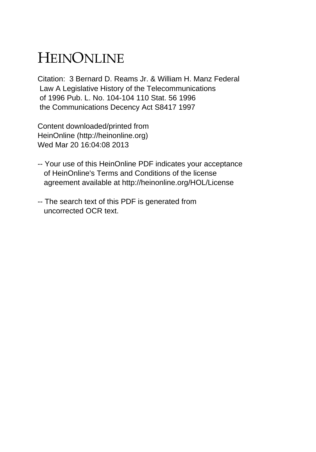# HEINONLINE

Citation: 3 Bernard D. Reams Jr. & William H. Manz Federal Law A Legislative History of the Telecommunications of 1996 Pub. L. No. 104-104 110 Stat. 56 1996 the Communications Decency Act S8417 1997

Content downloaded/printed from HeinOnline (http://heinonline.org) Wed Mar 20 16:04:08 2013

- -- Your use of this HeinOnline PDF indicates your acceptance of HeinOnline's Terms and Conditions of the license agreement available at http://heinonline.org/HOL/License
- -- The search text of this PDF is generated from uncorrected OCR text.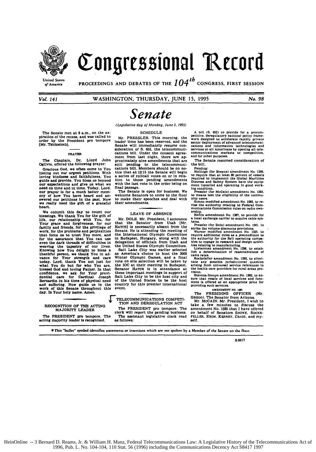

# **<sup>4</sup>**Clongressional Record

United States *PROCEEDINGS AND DEBATES OF THE*  $104^{th}$  *congress, first session* 

### Vol. 141 WASHINGTON, THURSDAY, **JUNE 15, 1995** *No.* **98**

The Senate met **at 9** a.m., on the ex- **SCHEDULE** piration of the recess, and was called to order by the President pro tempore order **by** the President pro tempore leader time has been reserved, and the

Usting out our urgent petitions. With tice that at **12:15** the Senate will begin loving kindness and faithfulness. You a series of rollcall votes on or in relaguide and provide. You bless us beyond tion to those pending amendments<br>our expectations and give us what we with the last vote in the order being on<br>need on time and in time. Today, Lord, final passage.<br>our prayer is for heart.

We cormnit this day to count our **LEAVE** OF **ABSENCE** blessings. We thank You for the **gift** of **life,** our relationship with You, for Mr. **DOLE.** Mr. President. I announce family and friends, for the privilege of **HATCH**] is necessarily absent from the work, for the problems and perplexities Senate. He is attending the meeting of work, for the problems and perplexities Senate. He is attending the meeting of that force us to trust You more and the International Olympic Committee that force us to trust You more, and for the assurance that You can use for the assurance that You can use in Budapest, Hungary, along with the reven the dark threads of difficulties in delegation of officials from Utah and revers weaving the tapestry of our lives. the United States Olympic Co weaving the tapestry of our lives. the United States Olympic Committee.<br>Knowing how You delight to bless a Salt Lake City was earlier selected<br>thankful person, we thank You in ad-as America's choice to host the 2002 thankful person, we thank You in ad-<br>as America's choice to host the 2002<br>vance for Your strength and care Winter Olympic Games, and a final<br>today. Lord, thank You not just for vote on site selection will be taken by<br>what Bernardin in his time of physical need of the United States to be the host and suffering. Now guide us in the country for this premier international work of this Senate throughout this event.<br>  $\frac{1}{2}$  work of this Senate

RECOGNITION OF THE ACTING **MAJORITY LEADER** 

acting majority leader is recognized, as **follows:**

# *Senate*

(Legislative **day** of *Monday,* June **5. 1995)**

Senate will immediately resume consideration of **S. 652.** the telecommuni-**PRAYER cations bill. Under the consent agree-**<br>ment from last night, there are ap-<br>Oglivie, offered the following prayer: still pending to the telecommuni-<br>Oglivie, offered the following prayer: still pending to the telec Ogilvie. offered the following prayer: still pending to the telecommuni-Gracious God, we often come to You cations bill. Members should be on no-

Mr. DOLE. Mr. President, I announce<br>that the Senator from Utah [Mr.<br>HATCH] is necessarily absent from the

**TELECOMMUNICATIONS** COMPETI- **TlION AND DEREGULATION ACT**

The PRESIDENT pro tempore. The clerk will report the pending business. The PRESIDENT pro tempore. The The assistant legislative clerk read

A bill *iS.* **652) to** provide for a procom-petitive, deregulatory national policy frame. work designed to accelerate rapidly private sector deployment **of** advanced telecommuni-cations and information technologies and services to all Americans **by** opening all tele-communications markets **to** competition. and for other purposes.

The Senate resumed consideration **of** the bill.<br>Pending

Pending: (for Breaux) amendment No. 1299,<br>Hollings (for Breaux) amendment No. 1299,<br>to require that at least 30 percent of vessels<br>blatterise and Safety System have the equip-<br>ment installed and operating in good work-<br>ing ment installed and operating in good work-<br>Ing condition.<br>Pressler (for McCain) amendment No. 1235.

to means test the eligibility of the community users.

Simon modified amendment No. **1283, to** revise the authority relating **to** Federal **Com-**munications Commission rules on radio ownership.

**Hefiln** amendment No. **1367.** to provide for a **local** exchange carrier to acquire cable **sys-**

tems. Pressler (for Dole) amendment No. 1341. to

strike the volume discounts provisions.<br>Warner modified amendment No. 1325. to<br>require additional rules as a precondition to<br>the authority for the Bell operating compa-<br>nies to engage in research and design activi-<br>ties re

nate any possible jurisdictional .question arising **from** universal service references in the health **care** providers for **rural** areas pro**vision.**

Stevens-Inouye amendment No. 1303, to en-<br>sure that resale of local services and func-<br>tions is offered at an appropriate price for providing such services.

**AMENDIENT NO. 1295**

The **PRESIDING** OFFICER (Mr. GREGG). The Senator from Arizona.

Mr. **MCCAIN.** Mr. President. **I** wish to take a few minutes to discuss the **amendment No. 1285 that I have offered<br>on behalf of Senators SNOWE. ROCKE-<br>FELLER, EXON. KERREY. CRAIG. and my**self.

**6** This "buUet" symbol identifies statements or insertions which **are** not spoken **by** a Member of the Senate on the floor.

S.9417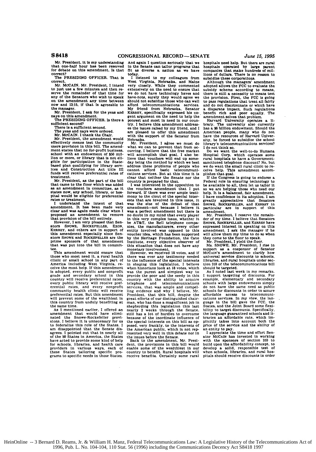Mr. President. it **is my** understanding that one-half hour has been reserved for debate on this amendment. Is that correct?

The PRESIDING OFFICER. That is correct.<br>Mr. McCAIN. Mr. President. I intend

Mr. McCAN. Mr. President, **I** intend to just use a few minutes and then reserve the remainder of that time for any of the Senators who wish to speak on the amendment any time between now and **12:15, if that is agreeable to** the manager.

Mr. President, I ask for the yeas and nays on this amendment.<br>The PRESIDING OFFICER. Is there a<br>sufficient second?

There is a sufficient second.<br>The yeas and nays were ordered.<br>Mr. MCCAIN. I thank the Chair.

The yeas and nays were ordered. Mr. **McCAIN. I** thank the Chair. Mr. President. the amendment would effectively means test the community users provision in this **bill.** The amendment states that no for-profit business,<br>school with an endowment of \$50 milschool with an endowment of the mil-<br>lion or more, or library that is not eli-<br>gible for participation in the Stategible for participation in the State- based plan qualifying for library services and Construction Act title III funds will receive preferential rates of treatment.

Mr. President, as the part of the **bill** that came to the floor which was added as an amendment in committee, as it<br>states now, any school, library, or hospital would be eligible for preferential<br>rates or treatment. rates or treatment. **<sup>I</sup>**understand the intent of that

amendment. It has been made very clear and was again made clear when **<sup>I</sup>** proposed an amendment to remove that provision **of** the bill entirely.

However, **I** am very **pleased** that Sen- ators **SNOWE.** ROCKEFELLER. **EXON, KERREY,** and others are in support of this amendment especially since Sen-**ators SNOWE** and ROCKEFELLER are the prime sponsors of that amendment that was put into the **bill** in committee.

This amendment would ensure that those who most need **it,** a **rural** health clinic or small school in any part of America Including West Virginia. receive the most help. If this amendment is adopted, every public and nonprofi grade and secondary school in this country will receive preferential rates. every public library will receive preferential rates, and every nonprofit community health clinic will receive preferential rates. **But** this amendment will prevent some of the wealthiest in this country from unduly benefiting at

the same time. As **I** mentioned earlier. **I** offered an amendment that Snowe-Rockefeller provi-<br>sions. I believe it is unnecessary for us to federalize this role of the States. **I** am disappointed that the Senate disagrees. I pointed out that in nearly all of the **50** States in America. the States have acted to provide some kind of help<br>for schools, libraries, and health care<br>providers in various ways, each of these States tailoring specific pro- grams to specific needs in those States.

And again I question seriously that we in the Senate can tailor programs that fit as diverse **a** nation as we have

today. I listened to my colleagues from West Virginia, Nebraska, and Maine very closely. While they commented extensively on the need to ensure that we do not have technology haves and have-nots, surely they would agree we should not subsidize those who can well afford telecommunications services. **My** friend from Nebraska, Senator KERREY, specifically expressed his co-gent argument on the need to help the poorest and most in need in our country. **I** believe this amendment addresses the issues raised **by** my friend, and **<sup>I</sup>** am pleased to offer this amendment with the support of the Senator from Nebraska.

eoraska.<br>Mr. President, I agree we must do what we can to prevent that from oc-curring. **I** believe that the free market will accomplish that goal. I also **be-lieve** that vouchers will end up someday being the method **by** which we best address these problems of people who cannot afford basic telecommuni-cations services. But at this time it is clear that neither the Senate nor the country is prepared for that.

**I** was interested in the opposition to the vouchers amendment that **I** put forward. **If** there was ever ample testi-mony to the clout of the special interests that **are** involved in this issue, it was the size of the defeat **of** that amendment-not because **I** believe it was a perfect amendment but there **is** no doubt in my mind that every player<br>in this very complex issue, whether it be AT&T, the Bell telephone companies. the manufacturers, every other entity involved was opposed to this voucher idea. which has been supported **by** the Heritage Foundation, the Cato Institute, every objective observer of this situation that does not have any

monetary involvement. However, we received **18** votes, and if there was ever any testimony needed to the influence of the special interests in shaping this legislation, **I** believe when historians look at **18** votes, which was the purest and simplest way to provide the poor and the needy in this country with the ability to acquire telephone and telecommunications services, that was ample and compel-ling evidence and why **I** believe, Mr. President. that this bill, despite the great efforts of our distinguished chairman, who has done a magnificent job in shepherding this legislation this last nearly 2 weeks through the Senate. still has a lot of hurdles to overcome because of the inordinate influence of the special interests on this bill as opposed, very frankly, to the interests of the American public, which is not rep-resented very well in this debate nor in

the issues before the Senate. Back to the amendment, Mr. President. the provisions in this bill would enable some of the wealthiest in our country to benefit. Rural hospitals will receive benefits. Certainly some rural

hospitals need help. But there are rural hospitals operated **by** large parent companies that make hundreds of mil- lions of dollars. There **Is** no reason to subsidize these corporations.<br>Although the managers' amendment.

Although the managers' amendment adopted allows the **FCC** to evaluate the subsidy scheme according to means. there is still **a** necessity to means test the provision. First, the **FCC** is going to pass regulations that treat **all** fairly and do not discriminate or which have a disparate impact. Such regulations denefit rich and poor equally. The amendment solves that problem.

amendment solves that problem. Harvard University operates a **li-**brary. The university also currently has **a \$6** billion endowment. Should the American people, many who do not have the resources of Harvard University, be forced to subsidize the school library's telecommunications services?

**<sup>I</sup>**do not think so. **Do** we want the well-to-do Humana Hospital Corp. which operates some rural hospitals to have a Government- sanctioned telephone discount? No, but we do want the small rural clinic to re-

ceive help. This amendment accom-<br>plishes that goal.<br>If the Congress is going to endorse a<br>Federal role in ensuring technology to Federal role in ensuring technology to be available to all, then let us tailor it so we are helping those who need our help. It is a balanced, fair amendment. I have confidence in its adoption. I am<br>greatly appreciative that Senators SNOWE, RoCKEFELLER, and KEREY in particular are in support of this particular are in support of<br>amendment.<br>Mr. President I reserve the res

Mr. President. I reserve the remain-<br>der of my time. I believe that Senators der of my time. **I** believe that Senators SNOwE, ROCKEFELLER, and KERREY have expressed interest in speaking on this amendment. I ask the manager if he will allow them my time to do so when they come to the floor. Mr. President, I yield the floor.

they come to the floor to speak. Mr. President, **I** yield the floor.<br>Ms. SNOWE. Mr. President. I rise in<br>support as a cosponsor of Senator

**MCCAIN'S** amendment to clarify how universal service discounts to schools, libraries, and rural hospitals under sec- tion **310** of the telecommunications bill

I support targeting of discounts. For example, elementary and secondary schools with large endowments simply do not have the same need as public schools for discounts in order to assure affordable access to telecommunications services. In my view. the lan-guage in the bill gave the **FCC,** the States. and the Joint Board some flexi- bility to target discounts. Specifically, bility to target discounts. Specifically, the language guaranteed schools and libraries an affordable rate, which im- plicitly takes into account both the price of the service and the ability of<br>an entity to pay.

I appreciate the time and effort Sen-<br>ator McCAIN has invested in working ator **MCCAIN** has invested in working with the sponsors of section **310** to build upon the affordability concept, to develop a solid, responsible test of when schools, libraries, and rural hos-pitals should receive discounts in order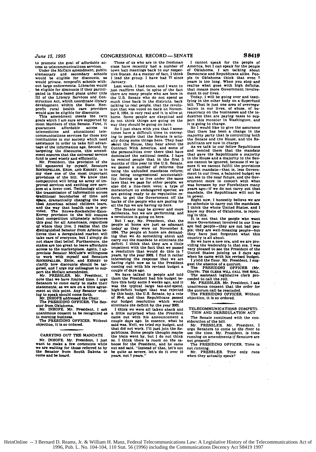to promote the goal of affordable **ac**cess to telecommunications services. Under the McCan amendment, public

elementary and secondary schools<br>would be eligible for discounts, as  $e^{int}$  eligible for discounts, would private, nonprofit schools with-out large endowments. Libraries would be eligible for discounts if they participated in State-based plans under title **III** of the Library Services and Con-struction Act, which coordinate library development within the State. Non-<br>profit rural health care providers profit rural health care providers would also be eligible for discounts.

This amendment meets the twin goals which **I** am sure are supported **by** most Members of this Senate. First, it guarantees affordable access to telemedicine and educational tele-<br>communications services for those key communications services for those key institutions in our society which need assistance in order to take full advan- tage of the information age. Second, **by** tage of the information age. Second, by targeting the discounts, this amend-

ment ensures that the universal service<br>fund is used wisely and efficiently.<br>Mr. President, the provision of the<br>bill sponsored by myself, Senators<br>ROCKEPELLER, EXON, AND KERREY, is in<br>my view one of the most important<br>pro competition will bring an array of improved services and exciting new services at a lower cost. Technology allows the transmission of information across the transmission of information across -taditional boundaries **of** time and space. dramatically changing the way that American school children learn.<br>and the way that health care is pro-<br>vided. The Snowe-Rockefeller-Exonand the way that health care is provided. The Snowe-Rockefeller-Exon-<br>Rerrey provision in the bill ensures that competition ultimately achieves this goal for all Americans. regardless of where they live. **I** realize that the distinguished Senator from Arizona be- **lieves** that a deregulated market will take care of everyone. but I simply do not share that belief. Furthermore, the stakes are too great to leave affordable access to the marketplace. Again, I ap-<br>preciate Senator McCaR's willingness preciate Senator **MCCAIN's** willingness to work with myself and Senators **ROCKEFLE.R, EXON.** and **KERREy** to clarify how discounts should be tar- geted, and **I** urge my colleagues to sup- port the McCain amendment.

Mr. PRESSLER. Mr. President, **<sup>I</sup>** note that we have limited time. **I** urge Senators to come early to make their statements, as we are on a time agree- ment at this point. **Any** Senator wishing to speak should come forth. Mr. **INHOFE** addressed the Chair. The PRESIDING OFFICER. The Sen-

ator from Oklahoma. Mr. **INHOFE.** Mr. President, **I ask**

unanimous consent to be recognized as in morning business. **The** PRESIDING OFFICER. Without

objection, it is so ordered.

### CARRYING **OUT** THE **MANDATE.**

Mr. **INHOFE.** Mr. President, **I** just want to make a few comments while we are waiting for those referred to by<br>the Senator from South Dakota to<br>the Senator from South Dakota to come and be heard.

Those of us who are in the freshman class have recently had a number of town hall meetings back in our respective States. As a matter of fact. **I** think I lead the group. **I** have had **77** since January.

Last week. **I had** some, and **I** want to just reaffirm that, in spite of the fact there are many people who are here in the **U.S.** Senate who do not spend as much time back in the districts, back talking to real people, that the revolution that was voted on back on November **8.** 1994. is very real and it is alive at home. Some people are skeptical and do not think things are going on the way they should be going on here.

So I just share with you that I some-times have a difficult time in conveying to people that the Senate is actu-ally doing some things here. They hear about the House. they hear about the Contract With America, and some of the personalities over there that have dominated the national media. **I** have to remind people that in the first **<sup>3</sup>** months of this year in the **U.S.** Senate. we passed **a** number of reforms: One being the unfunded mandates reform; one being congressional accountabil- ity, forcing us to live under the same laws that we **pass** for other people; we also **did** a line-item veto; a type of moratorium on endangered species: we are getting ready to do regulation re- form, to get the Government **off** the backs of the people who are paying for all the fun we are having up here.

The Senate may be slower and more deliberate, but we are performing, and a revolution **is** going on here.

But **I** say, Mr. President. that the people at home are just as adamant today' as they were on November **8,** 1994. The people at home are demand-<br> **Ing that we do something about and**<br>
carry out the mandate to eliminate the deficit. **I** think that they are a little Impatient with the fact that we passed a resolution that Would do this in **<sup>7</sup>** years, **by** the year 2002. **I** find it rather Interesting the response that we are having right now as to the President coming Out with his revised budget a couple of days ago.

We have talked to people and told them the President **had** his budget **be**fore this body some 3 weeks ago, and it<br>was the typical large tax-and-spend.<br>high-deficit budget that was rejected<br>by this body, the U.S. Senate, by a vote<br>of 99-0, and then Republicans passed our budget resolution which would eliminate the deficit **by** the year 2002.

**<sup>I</sup>**think we were all taken aback and a little surprised when the President came out with his announcement a couple days ago. In essence, what he said was. Well. we tried my budget, and that did not work. I'll just join the Republicans. Some people thought maybe<br>the train went by, but I do not think<br>so. I think there is room on the caso. **I** think there is room on the ca- boose for the President, **and** he came out and said. "Instead of that. let's not be quite as severe, let's do it over **<sup>10</sup>** years. not **7** years."

**I** cannot speak for the people of America. but **I** can speak for the people of Oklahoma. **I** am talking about Democrats and Republicans alike. Peo- ple in Oklahoma think that even **<sup>7</sup>** years **is** too long. When you stop and realize what goes with **high** deficits.

that means more Government involvement in our lives.<br>Today, I will be going over and testi-<br>Today, I will be going over and testi-<br>fying in the other body on a Superfund<br>bill. That is just one area of overregu-<br>lation in o reaucracy on the businesses and the in- dustries that are paying taxes to sup-port this monster in Washington, and it is going to change. So **I** would like to give the assurance

that there has been a change in the majority party that is controlling both the Senate and the House, and the Republicans are now in charge.<br>As we talk to our fellow Republicans

As we talk to our fellow Republicans and remind them that the mandate that gave the Republicans **a** majority in the House and a majority in the Senate cannot be ignored, because if we **ig-** nore it we cannot fulfill the provisions of that mandate-that is, less Government in our lives, a balanced budget we<br>can see in the near future, and the Government more in concert with what was foreseen **by** our Forefathers many years ago-if we do not carry out that mandate, the Republicans will not **be** mandate, the Republicans will not be<br>in power.<br>Right now. I honestly believe we are

I show. I honestly believe we are<br>on schedule to carry out the mandates.<br>I think the whole United States, and I **If the whole United States, and <b>I** know my State of Oklahoma, is rejoic-

ing in this.<br>It is not that the people who want<br>more Government involved in our lives<br>are bad people—they are not bad people; they are well-meaning people—but<br>they have just forgotten what this<br>country is all about.<br>Country is all about.<br>So we have a new era, and we are pro-<br>viding the leadership in that era. I was<br>very pleased to see the Pr

United States joining us 2 days ago when he came with his revised budget.<br> **I** yield the floor. Mr. President. I sug-<br>gest the absence of a quorum.<br>
The **PRESIDING OFFICER (Mr.** 

**COATS). THE** CLERK WILL **CALL THE ROLL.** The assistant legislative clerk pro-

ceeded to call the roll. Mr. PRESSLER. Mr. President, **I** ask unanimous consent that the order for the quorum call be rescinded. The PRESIDING OFFICER. Without

objection, it is so ordered.

**TELECOMMUNICATIONS** COMPETI- **TION AND DEREGULATION ACT**

The Senate continued with the con- sideration of the **bill.**

Mr. PRESSLER. Mr. President. **I** urge Senators to come to the floor to use the time. Mr. President. **Is** time running on amendments **if** Senators are not present? The **PRESIDING** OFFICER. Time is

not running. Mr. PRESSLER. Time only runs when they actually speak?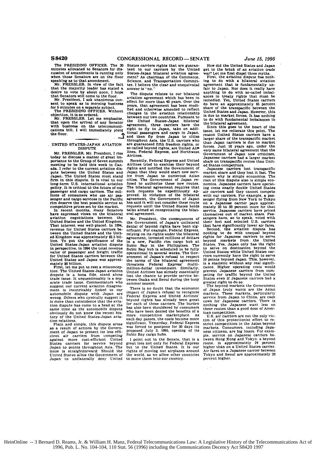The PRESIDING OFFICER. The **<sup>30</sup>** minutes allocated to Senators for discussion of amendments is running only when those Senators are on the floor

speaking as to that amendment. Mr. PRESSLER. In view of the fact that the majority leader has stated a desire to vote **by** about noon, **I** hope that Senators will come to the floor. Mr. President, I ask unanimous con-

sent to speak as in morning business for **6** minutes on a separate subject. The PRESIDING OFFICER. Without

objection, it is so ordered.<br>Mr. PRESSLER. Let me emphasize.<br>that upon the arrival of any Senator<br>with business on the telecommuni-<br>cations bill, I will immediately yield<br>the floor.

## UNITED **STATES-JAPAN** AVIATION **DISPUTE**

Mr. PRESSLER. Mr. President, I rise today.to discuss **a** matter of great **im**portance to the Group **of** Seven summit meeting to be held this week in Canada. **I** refer to the current aviation dispute between the United States and Japan., The United States must stand firm in this dispute. It is vital to our firm in this dispute. It is vital to our long-term U.S. international aviation policy. It is critical to the future of our policy. It **is** critical t6 the future of our passenger and cargo carriers. The mil-lions of consumers who use air pas-senger and cargo services in the Pacific

rim deserve the best possible service at competitive prices set **by** the market. In recent months, many Senators have expressed views on the bilateral aviation negotiations between the United States and the United Kingdom. That interest was well-placed. In 1994, revenue for United States carriers be- tween the United States and the United Kingdom was approximately **\$2.5** bil- lion. To put the significance of the United States-Japan aviation dispute in perspective, in 1994 the total revenue value of passenger and freight traffic for United States carriers between the United States and Japan **was** approximately **36** billion.<br>First, let me put to rest a misconcep-

tion. The United States-Japan aviation dispute is a bona fide. stand alone trade issue. It unquestionably is a separate trade issue. Commentators who suggest our current aviation disagreement is inextricably linked to our automobile dispute with Japan are wrong. Others who cynically suggest it is more than coincidence that the avia- tion dispute has come to a head at the same time as the automobile dispute obviously do not know the recent his-tory of the United States-Japan avia-

tion relations. Plain and simple, this dispute arose as a result of actions **by** the Govern-ment of Japan to protect its less efficient air carriers from competing against more cost-efficient United States carriers for service beyond Japan to points throughout Asia. The issue is straightforward: Should the United States allow the Government of Japan- to unilaterally deny United

States carriers rights that are guaran- teed to our carriers **by** the United States-Japan bilateral aviation agree-ment? **As** chairman **of** the Commerce, Science, and Transportation Committee. **I** believe the clear and unequivocal answer is "no."

The dispute relates to our bilateral aviation agreement which has been in effect for more than 40 years. Over the years, that agreement has been modified and otherwise amended to reflect changes in the aviation relationship between our two countries. Pursuant to the United States-Japan bilateral agreement, three carriers have the right to **fly** to Japan, take on additional passengers and cargo in Japan, and then fly from Japan to cities throughout Asia. the **U.S.** carriers who are guaranteed fifth freedom rights, or so-called beyond rights, are United Airlines, Federal Express. and Northwest Airlines.<br>Recently, Federal Express and United

Recently. Federal Express and United Airlines tried to exercise their beyond rights and notified the Government of Japan that they would start new service from Japan to numerous Asian cities. The Government of Japan refused to authorize these new routes. The bilateral agreement requires that such requests be expeditiously ap-<br>proved. In violation of the bilateral agreement, the Government of Japan has said it will not consider these route requests until the United States holds talks aimed at renegotiating the bilateral agreement.

Mr. President, the consequences of the Government of Japan's unilateral denial of beyond rights have been sig- nificant. For example. Federal Express, relying on its rights under the bilateral agreement, invested millions of dollars in a new, Pacific rim cargo hub at Subic **Bay** in the Philippines. The Subic **Bay** hub is scheduled to be fully operational in several weeks. The Gov- ernment of Japan's refusal to respect the terms of the bilateral agreement threatens Federal Express' multimillion-dollar investment. Similarly. United Airlines has already essentially lost the chance to provide service **be**tween Osaka and Seoul during the busy summer season.

There is no doubt that the economic impact of Japan's refusal to recognize<br>Federal Express and United Airlines' for each of these carriers. The burden has also been shouldered by consumers who have been denied the benefits of a more competitive marketplace. As each day passes, the costs become more significant. Yesterday. Federal Express was forced to postpone for **30** days its proposed July **3, 1995.** opening of its Subic Bay cargo hubs.

**I** point out to the Senate, that is a great loss not only for Federal Expres3 but to the United States. It is our rights of moving our airplanes around the world, as we allow other countries to move them into our country.

**How did** the United States and Japan get to the brink of an aviation trade

war? Let me first dispel three myths.<br>First, the aviation dispute has nothing to do with a bilateral aviation agreement that is fundamentally unfair to Japan. Nor does it really have anything to do with so-called imbal-ances in treaty rights that must be remedied. Yet. United States carriers do have an approximately **65** percent share of the transpacific between the United States and Japan. However, this Is due to market forces. It has nothing to **do** with fundamental imbalances in

the bilateral agreement. Since this goes to the heart of the issue, let me reiterate this point. The reason United States carriers have **a** larger share of the transpacific market than Japan carriers **is** due to market very same bilateral agreement that the Government of Japan now criticizes. Japanese carriers had a larger market share on transpacific routes than Unit-

ed States competitors.<br>Japanese carriers lost transpacific<br>market share and they lost it fast. The<br>reason why is simple economics. The<br>root of this dispute also is simple economics. Japanese carriers have operating costs nearly double United States<br>air carriers and they cannot compete with our carriers. For example, a passenger flying from New York to Tokyo on a Japanese carrier pays approxi-mately **23** to **33** percent more for that service. Japanese carriers have priced themselves out of market share. **Pas**sengers have, so to speak, voted with<br>their feet and selected U.S. carriers

their feet and selected U.S. carriers that have significantly lower air fares. Second, the aviation dispute has nothing to do with unequal beyond rights for Japanese carriers to serve beyond markets from the United States. Yes. Japan only has the right to serve on destination beyond the United States while United States carriers currently have the right to serve<br>10 points beyond Japan. This, however, 10 points beyond Japan. This. however. is a statistic without any real signifi-cance. Higher operating costs **would** prevent Japanese carriers from com-<br>peting for traffic beyond the United<br>States even if Japanese carriers had a

States even if Japanese carriers had a<br>greater right to do so.<br>The beyond markets the Government<br>of Japan truly wants are the Asian<br>markets. These markets, particularly<br>service from Japan to China, are cash<br>bervice from Ja

U.S. air carriers are not the only victim of this protectionist effort to restrict competition in the Asian beyond<br>markets. Consumers, including Japamarkets. Consumers. including Japa-<br>nese citizens, are big losers. For exam-<br>ple. service on Japanese carriers be-<br>tween Hong Kong and Tokyo. a beyond route, is approximately 24 percent higher than on a United States carrier. Air fares on a Japanese carrier between Tokyo and Seoul are approximately 20 percent higher.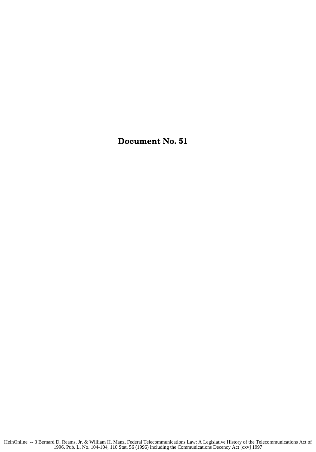Document No. **51**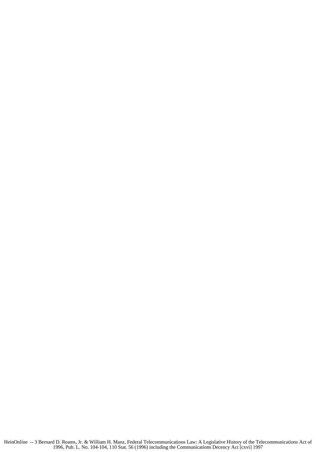HeinOnline -- 3 Bernard D. Reams, Jr. & William H. Manz, Federal Telecommunications Law: A Legislative History of the Telecommunications Act of 1996, Pub. L. No. 104-104, 110 Stat. 56 (1996) including the Communications Decency Act [cxvi] 1997